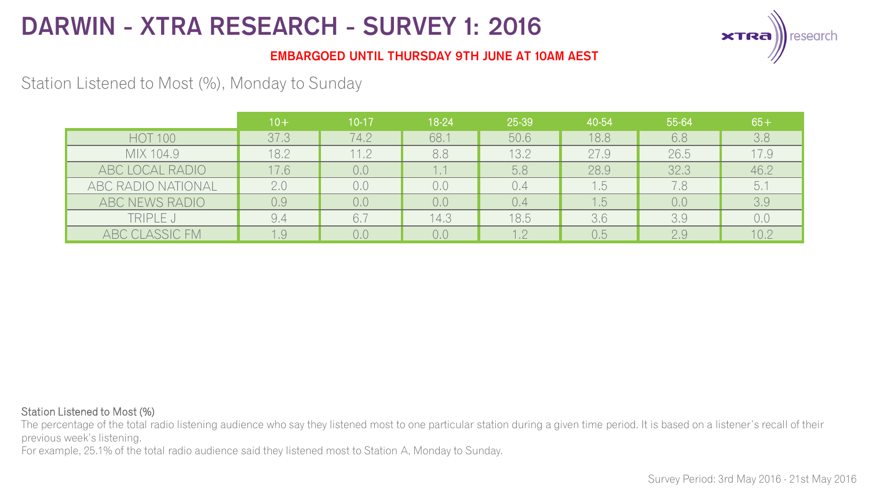

### **EMBARGOED UNTIL THURSDAY 9TH JUNE AT 10AM AEST**

## Station Listened to Most (%), Monday to Sunday

|                    | $10+$ | $10 - 17$ | 18-24 | 25-39 | 40-54 | 55-64 | $65+$          |
|--------------------|-------|-----------|-------|-------|-------|-------|----------------|
| <b>HOT 100</b>     | 37.3  | 74.2      | 68.1  | 50.6  | 18.8  | 6.8   | 3.8            |
| MIX 104.9          | 18.2  | 11.2      | 8.8   | 13.2  | 27.9  | 26.5  | 17.9           |
| ABC LOCAL RADIO    | 17.6  | 0,0       | 1.1   | 5.8   | 28.9  | 32.3  | 46.2           |
| ABC RADIO NATIONAL | 2.0   | 0,0       | 0.0   | 0.4   | 1.5   | 7.8   | 5.             |
| ABC NEWS RADIO     | 0.9   | 0.0       | 0.0   | 0.4   | 1.5   | 0,0   | 3.9            |
| TRIPLE J           | 9.4   | 6.7       | 14.3  | 18.5  | 3.6   | 3.9   | 0 <sub>c</sub> |
| ABC CLASSIC FM     | 1.9   | 0.0       | 0.0   | .2    | 0.5   | 2.9   | 10.2           |

#### Station Listened to Most (%)

The percentage of the total radio listening audience who say they listened most to one particular station during a given time period. It is based on a listener's recall of their previous week's listening.

For example, 25.1% of the total radio audience said they listened most to Station A, Monday to Sunday.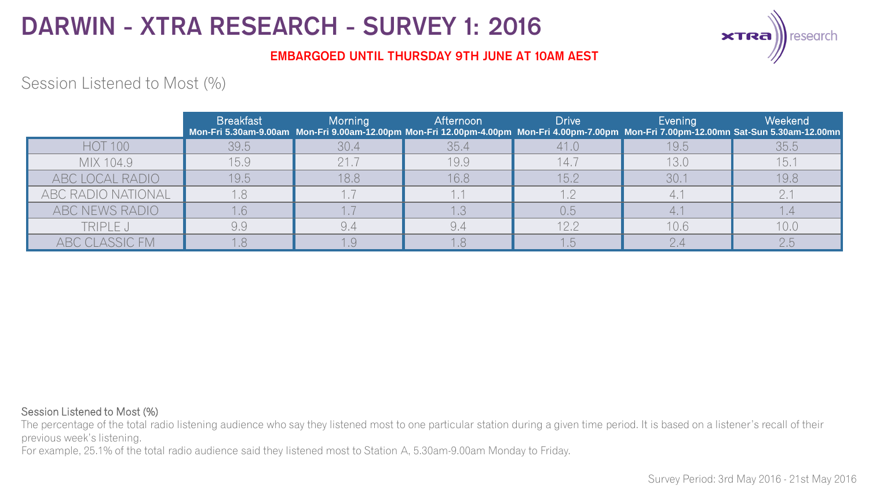

### **EMBARGOED UNTIL THURSDAY 9TH JUNE AT 10AM AEST**

### Session Listened to Most (%)

|                    | <b>Breakfast</b> | Morning | Afternoon | <b>Drive</b> | Evening | Weekend<br>Mon-Fri 5.30am-9.00am Mon-Fri 9.00am-12.00pm Mon-Fri 12.00pm-4.00pm Mon-Fri 4.00pm-7.00pm Mon-Fri 7.00pm-12.00mn Sat-Sun 5.30am-12.00mn |
|--------------------|------------------|---------|-----------|--------------|---------|----------------------------------------------------------------------------------------------------------------------------------------------------|
| <b>HOT 100</b>     | 39.5             | 30.4    | 35.4      | 41.0         | 19.5    | 35.5                                                                                                                                               |
| MIX 104.9          | 15.9             | 21.7    | 19.9      | 14.7         | 13.0    | 15.1                                                                                                                                               |
| ABC LOCAL RADIO    | 19.5             | 18.8    | 16.8      | 15.2         | 30.1    | 19,8                                                                                                                                               |
| ABC RADIO NATIONAL |                  |         |           |              | 4.1     |                                                                                                                                                    |
| ABC NEWS RADIO     |                  |         |           | 0,5          |         |                                                                                                                                                    |
| TRIPLE J           | 9,9              |         |           | 12.2         | 10.6    | 10.0                                                                                                                                               |
| ABC CLASSIC FM     |                  |         |           |              |         | 2.5                                                                                                                                                |

#### Session Listened to Most (%)

The percentage of the total radio listening audience who say they listened most to one particular station during a given time period. It is based on a listener's recall of their previous week's listening.

For example, 25.1% of the total radio audience said they listened most to Station A, 5.30am-9.00am Monday to Friday.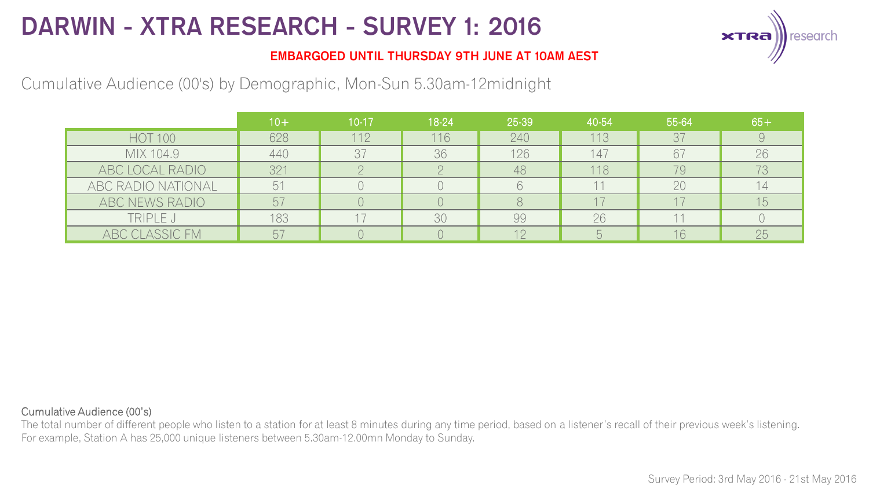

### **EMBARGOED UNTIL THURSDAY 9TH JUNE AT 10AM AEST**

Cumulative Audience (00's) by Demographic, Mon-Sun 5.30am-12midnight

|                    | $10+$           | $10-17$ | 18-24 | 25-39 | 40-54 | 55-64 | $65 +$ |
|--------------------|-----------------|---------|-------|-------|-------|-------|--------|
| <b>HOT 100</b>     | 628             | 112     | 116   | 240   | 113   | 37    |        |
| MIX 104.9          | 440             | 37      | 36    | 126   | 147   | 67    | 26     |
| ABC LOCAL RADIO    | 32 <sup>2</sup> |         |       | 48    | 118   | 79    |        |
| ABC RADIO NATIONAL | 5 <sup>1</sup>  |         |       |       |       | 20    |        |
| ABC NEWS RADIO     | $5-$            |         |       |       |       |       | 15     |
| TRIPLE J           | 183             |         | 30    | 99    | 26    |       |        |
| ABC CLASSIC FM     | b,              |         |       | 12    |       | 16    | 25     |

#### Cumulative Audience (00's)

The total number of different people who listen to a station for at least 8 minutes during any time period, based on a listener's recall of their previous week's listening. For example, Station A has 25,000 unique listeners between 5.30am-12.00mn Monday to Sunday.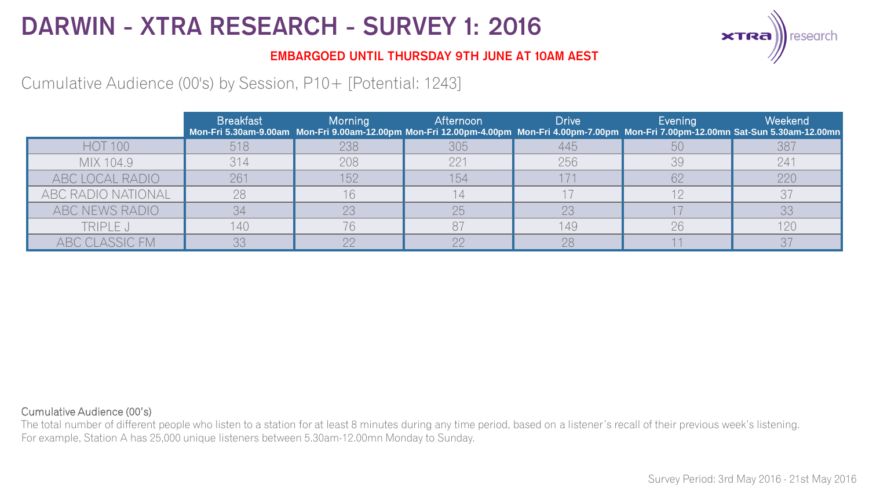

### **EMBARGOED UNTIL THURSDAY 9TH JUNE AT 10AM AEST**

Cumulative Audience (00's) by Session, P10+ [Potential: 1243]

|                    | <b>Breakfast</b> | <b>Morning</b> | Afternoon | <b>Drive</b> | Evening | Weekend<br>Mon-Fri 5.30am-9.00am Mon-Fri 9.00am-12.00pm Mon-Fri 12.00pm-4.00pm Mon-Fri 4.00pm-7.00pm Mon-Fri 7.00pm-12.00mn Sat-Sun 5.30am-12.00mn |
|--------------------|------------------|----------------|-----------|--------------|---------|----------------------------------------------------------------------------------------------------------------------------------------------------|
| <b>HOT 100</b>     | 518              | 238            | 305       | 445          | 50      | 387                                                                                                                                                |
| MIX 104.9          | 314              | 208            | 221       | 256          | 39      | 241                                                                                                                                                |
| ABC LOCAL RADIO    | 261              | 152            | 154       |              | 62      | 220                                                                                                                                                |
| ABC RADIO NATIONAL | 28               |                |           |              |         |                                                                                                                                                    |
| ABC NEWS RADIO     | 34               | 23             | 25        | 23           |         | 33                                                                                                                                                 |
| TRIPLE J           | 140              | 76             | 87        | 149          | 26      | 120                                                                                                                                                |
| ABC CLASSIC FM     |                  |                |           | 28           |         |                                                                                                                                                    |

#### Cumulative Audience (00's)

The total number of different people who listen to a station for at least 8 minutes during any time period, based on a listener's recall of their previous week's listening. For example, Station A has 25,000 unique listeners between 5.30am-12.00mn Monday to Sunday.